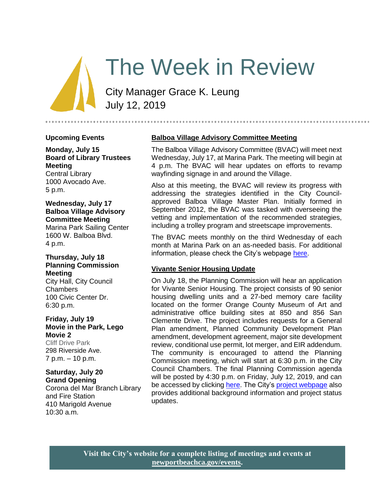# The Week in Review

City Manager Grace K. Leung July 12, 2019

#### **Upcoming Events**

**Monday, July 15 Board of Library Trustees Meeting** Central Library 1000 Avocado Ave.

5 p.m.

# **Wednesday, July 17 Balboa Village Advisory Committee Meeting**

Marina Park Sailing Center 1600 W. Balboa Blvd. 4 p.m.

# **Thursday, July 18 Planning Commission Meeting**

City Hall, City Council Chambers 100 Civic Center Dr. 6:30 p.m.

#### **Friday, July 19 Movie in the Park, Lego Movie 2**

Cliff Drive Park [298 Riverside Ave.](http://www.google.com/maps?f=l&hl=en&q=298+Riverside+Ave.%2c+Newport+Beach%2c+California+92663) 7 p.m. – 10 p.m.

#### **Saturday, July 20 Grand Opening**

Corona del Mar Branch Library and Fire Station 410 Marigold Avenue 10:30 a.m.

## **Balboa Village Advisory Committee Meeting**

The Balboa Village Advisory Committee (BVAC) will meet next Wednesday, July 17, at Marina Park. The meeting will begin at 4 p.m. The BVAC will hear updates on efforts to revamp wayfinding signage in and around the Village.

Also at this meeting, the BVAC will review its progress with addressing the strategies identified in the City Councilapproved Balboa Village Master Plan. Initially formed in September 2012, the BVAC was tasked with overseeing the vetting and implementation of the recommended strategies, including a trolley program and streetscape improvements.

The BVAC meets monthly on the third Wednesday of each month at Marina Park on an as-needed basis. For additional information, please check the City's webpage [here.](https://www.newportbeachca.gov/government/open-government/agendas-minutes/balboa-village-advisory-committee-agenda-bvac)

#### **Vivante Senior Housing Update**

On July 18, the Planning Commission will hear an application for Vivante Senior Housing. The project consists of 90 senior housing dwelling units and a 27-bed memory care facility located on the former Orange County Museum of Art and administrative office building sites at 850 and 856 San Clemente Drive. The project includes requests for a General Plan amendment, Planned Community Development Plan amendment, development agreement, major site development review, conditional use permit, lot merger, and EIR addendum. The community is encouraged to attend the Planning Commission meeting, which will start at 6:30 p.m. in the City Council Chambers. The final Planning Commission agenda will be posted by 4:30 p.m. on Friday, July 12, 2019, and can be accessed by clicking [here.](https://www.newportbeachca.gov/PLN/planning_commission/current_agenda.pdf) The City's [project webpage](https://www.newportbeachca.gov/government/departments/community-development/planning-division/current-projects-and-cases/vivante-senior-housing-project) also provides additional background information and project status updates.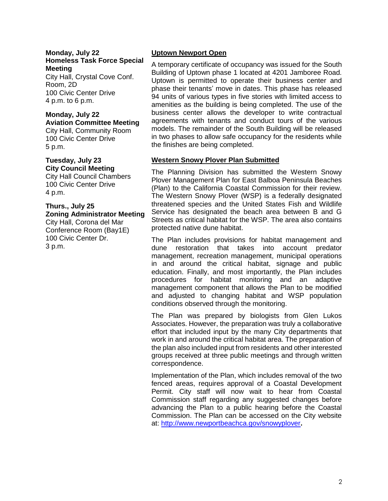#### **Monday, July 22 Homeless Task Force Special Meeting**

City Hall, Crystal Cove Conf. Room, 2D 100 Civic Center Drive 4 p.m. to 6 p.m.

#### **Monday, July 22 Aviation Committee Meeting**

City Hall, Community Room 100 Civic Center Drive 5 p.m.

# **Tuesday, July 23 City Council Meeting**

City Hall Council Chambers 100 Civic Center Drive 4 p.m.

#### **Thurs., July 25 Zoning Administrator Meeting**

City Hall, Corona del Mar Conference Room (Bay1E) 100 Civic Center Dr. 3 p.m.

# **Uptown Newport Open**

A temporary certificate of occupancy was issued for the South Building of Uptown phase 1 located at 4201 Jamboree Road. Uptown is permitted to operate their business center and phase their tenants' move in dates. This phase has released 94 units of various types in five stories with limited access to amenities as the building is being completed. The use of the business center allows the developer to write contractual agreements with tenants and conduct tours of the various models. The remainder of the South Building will be released in two phases to allow safe occupancy for the residents while the finishes are being completed.

# **Western Snowy Plover Plan Submitted**

The Planning Division has submitted the Western Snowy Plover Management Plan for East Balboa Peninsula Beaches (Plan) to the California Coastal Commission for their review. The Western Snowy Plover (WSP) is a federally designated threatened species and the United States Fish and Wildlife Service has designated the beach area between B and G Streets as critical habitat for the WSP. The area also contains protected native dune habitat.

The Plan includes provisions for habitat management and dune restoration that takes into account predator management, recreation management, municipal operations in and around the critical habitat, signage and public education. Finally, and most importantly, the Plan includes procedures for habitat monitoring and an adaptive management component that allows the Plan to be modified and adjusted to changing habitat and WSP population conditions observed through the monitoring.

The Plan was prepared by biologists from Glen Lukos Associates. However, the preparation was truly a collaborative effort that included input by the many City departments that work in and around the critical habitat area. The preparation of the plan also included input from residents and other interested groups received at three public meetings and through written correspondence.

Implementation of the Plan, which includes removal of the two fenced areas, requires approval of a Coastal Development Permit. City staff will now wait to hear from Coastal Commission staff regarding any suggested changes before advancing the Plan to a public hearing before the Coastal Commission. The Plan can be accessed on the City website at:<http://www.newportbeachca.gov/snowyplover>**.**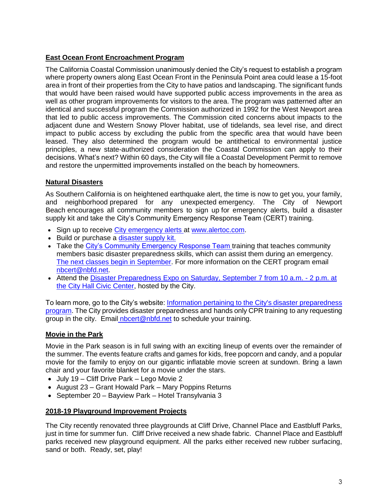# **East Ocean Front Encroachment Program**

The California Coastal Commission unanimously denied the City's request to establish a program where property owners along East Ocean Front in the Peninsula Point area could lease a 15-foot area in front of their properties from the City to have patios and landscaping. The significant funds that would have been raised would have supported public access improvements in the area as well as other program improvements for visitors to the area. The program was patterned after an identical and successful program the Commission authorized in 1992 for the West Newport area that led to public access improvements. The Commission cited concerns about impacts to the adjacent dune and Western Snowy Plover habitat, use of tidelands, sea level rise, and direct impact to public access by excluding the public from the specific area that would have been leased. They also determined the program would be antithetical to environmental justice principles, a new state-authorized consideration the Coastal Commission can apply to their decisions. What's next? Within 60 days, the City will file a Coastal Development Permit to remove and restore the unpermitted improvements installed on the beach by homeowners.

## **Natural Disasters**

As Southern California is on heightened earthquake alert, the time is now to get you, your family, and neighborhood prepared for any unexpected emergency. The City of Newport Beach encourages all community members to sign up for emergency alerts, [build a disaster](http://www.newportbeachca.gov/home/showdocument?id=56080)  [supply kit a](http://www.newportbeachca.gov/home/showdocument?id=56080)nd take the [City's Community Emergency Response Team \(CERT\) training.](https://www.newportbeachca.gov/government/departments/fire-department/life-safety-services-division/community-emergency-response-team-nbcert)

- Sign up to receive [City emergency alerts a](https://member.everbridge.net/index/453003085613900#/login)t [www.alertoc.com.](http://www.alertoc.com/)
- Build or purchase a disaster supply kit.
- Take the [City's Community Emergency Response Team](file:///C:/Users/gleung/AppData/Local/Microsoft/Windows/Temporary%20Internet%20Files/Content.Outlook/JWH28NZL/www.nbcert.org) training that teaches community members basic disaster preparedness skills, which can assist them during an emergency. [The next classes begin in September.](http://www.newportbeachca.gov/home/showdocument?id=62316) For more information on the CERT program [email](mailto:nbcert@nbfd.net) [nbcert@nbfd.net.](mailto:nbcert@nbfd.net)
- Attend the [Disaster Preparedness Expo on Saturday, September 7 from 10 a.m.](http://www.newportbeachca.gov/home/showdocument?id=64208) 2 p.m. at [the City Hall Civic Center,](http://www.newportbeachca.gov/home/showdocument?id=64208) hosted by the City.

To learn more, go to the City's website: Information pertaining to the City's disaster preparedness [program.](https://www.newportbeachca.gov/government/departments/fire-department/life-safety-services-division/disaster-preparedness-2806) The City provides disaster preparedness and hands only CPR training to any requesting group in the city. Email [nbcert@nbfd.net](mailto:%20nbcert@nbfd.net) to schedule your training.

# **Movie in the Park**

Movie in the Park season is in full swing with an exciting lineup of events over the remainder of the summer. The events feature crafts and games for kids, free popcorn and candy, and a popular movie for the family to enjoy on our gigantic inflatable movie screen at sundown. Bring a lawn chair and your favorite blanket for a movie under the stars.

- July 19 Cliff Drive Park Lego Movie 2
- August 23 Grant Howald Park Mary Poppins Returns
- September 20 Bayview Park Hotel Transylvania 3

#### **2018-19 Playground Improvement Projects**

The City recently renovated three playgrounds at Cliff Drive, Channel Place and Eastbluff Parks, just in time for summer fun. Cliff Drive received a new shade fabric. Channel Place and Eastbluff parks received new playground equipment. All the parks either received new rubber surfacing, sand or both. Ready, set, play!